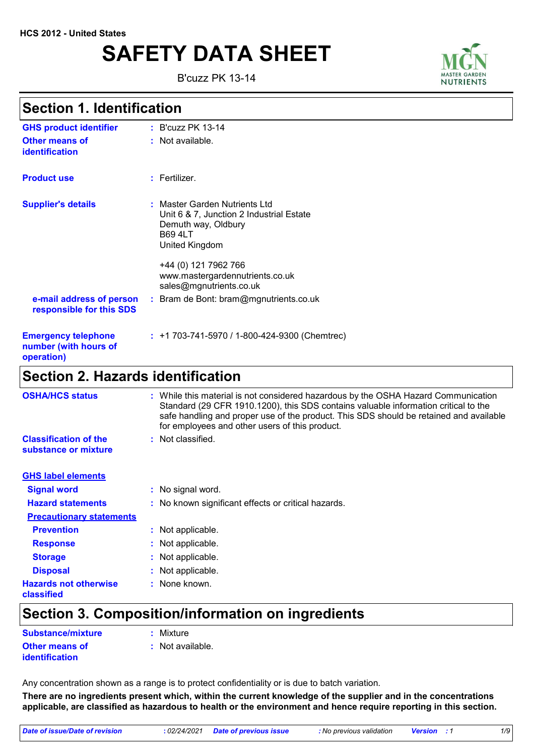# **SAFETY DATA SHEET**

B'cuzz PK 13-14



### **Section 1. Identification**

| <b>GHS product identifier</b>                                     | : B'cuzz PK 13-14                                                                                                                    |
|-------------------------------------------------------------------|--------------------------------------------------------------------------------------------------------------------------------------|
| Other means of<br><b>identification</b>                           | : Not available.                                                                                                                     |
| <b>Product use</b>                                                | $:$ Fertilizer.                                                                                                                      |
| <b>Supplier's details</b>                                         | : Master Garden Nutrients Ltd<br>Unit 6 & 7, Junction 2 Industrial Estate<br>Demuth way, Oldbury<br><b>B69 4LT</b><br>United Kingdom |
|                                                                   | +44 (0) 121 7962 766<br>www.mastergardennutrients.co.uk<br>sales@mgnutrients.co.uk                                                   |
| e-mail address of person<br>responsible for this SDS              | : Bram de Bont: bram@mgnutrients.co.uk                                                                                               |
| <b>Emergency telephone</b><br>number (with hours of<br>operation) | $: +1703-741-5970/1-800-424-9300$ (Chemtrec)                                                                                         |
| <b>Section 2. Hazards identification</b>                          |                                                                                                                                      |

| <b>OSHA/HCS status</b>                               | While this material is not considered hazardous by the OSHA Hazard Communication<br>Standard (29 CFR 1910.1200), this SDS contains valuable information critical to the<br>safe handling and proper use of the product. This SDS should be retained and available<br>for employees and other users of this product. |
|------------------------------------------------------|---------------------------------------------------------------------------------------------------------------------------------------------------------------------------------------------------------------------------------------------------------------------------------------------------------------------|
| <b>Classification of the</b><br>substance or mixture | : Not classified.                                                                                                                                                                                                                                                                                                   |
| <b>GHS label elements</b>                            |                                                                                                                                                                                                                                                                                                                     |
| <b>Signal word</b>                                   | : No signal word.                                                                                                                                                                                                                                                                                                   |
| <b>Hazard statements</b>                             | : No known significant effects or critical hazards.                                                                                                                                                                                                                                                                 |
| <b>Precautionary statements</b>                      |                                                                                                                                                                                                                                                                                                                     |
| <b>Prevention</b>                                    | : Not applicable.                                                                                                                                                                                                                                                                                                   |
| <b>Response</b>                                      | : Not applicable.                                                                                                                                                                                                                                                                                                   |
| <b>Storage</b>                                       | : Not applicable.                                                                                                                                                                                                                                                                                                   |
| <b>Disposal</b>                                      | : Not applicable.                                                                                                                                                                                                                                                                                                   |
| <b>Hazards not otherwise</b><br>classified           | : None known.                                                                                                                                                                                                                                                                                                       |

## **Section 3. Composition/information on ingredients**

| Substance/mixture                       | : Mixture        |
|-----------------------------------------|------------------|
| <b>Other means of</b><br>identification | : Not available. |

Any concentration shown as a range is to protect confidentiality or is due to batch variation.

**There are no ingredients present which, within the current knowledge of the supplier and in the concentrations applicable, are classified as hazardous to health or the environment and hence require reporting in this section.**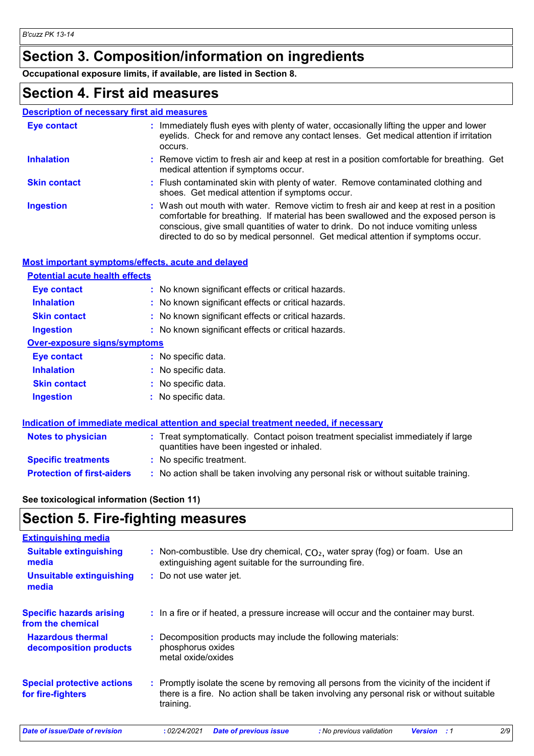## **Section 3. Composition/information on ingredients**

**Occupational exposure limits, if available, are listed in Section 8.**

### **Section 4. First aid measures**

|--|

| Eye contact         | : Immediately flush eyes with plenty of water, occasionally lifting the upper and lower<br>eyelids. Check for and remove any contact lenses. Get medical attention if irritation<br>occurs.                                                                                                                                                            |
|---------------------|--------------------------------------------------------------------------------------------------------------------------------------------------------------------------------------------------------------------------------------------------------------------------------------------------------------------------------------------------------|
| <b>Inhalation</b>   | : Remove victim to fresh air and keep at rest in a position comfortable for breathing. Get<br>medical attention if symptoms occur.                                                                                                                                                                                                                     |
| <b>Skin contact</b> | : Flush contaminated skin with plenty of water. Remove contaminated clothing and<br>shoes. Get medical attention if symptoms occur.                                                                                                                                                                                                                    |
| <b>Ingestion</b>    | : Wash out mouth with water. Remove victim to fresh air and keep at rest in a position<br>comfortable for breathing. If material has been swallowed and the exposed person is<br>conscious, give small quantities of water to drink. Do not induce vomiting unless<br>directed to do so by medical personnel. Get medical attention if symptoms occur. |

### **Most important symptoms/effects, acute and delayed**

| <b>Potential acute health effects</b> |                                                     |  |  |  |
|---------------------------------------|-----------------------------------------------------|--|--|--|
| Eye contact                           | : No known significant effects or critical hazards. |  |  |  |
| <b>Inhalation</b>                     | : No known significant effects or critical hazards. |  |  |  |
| <b>Skin contact</b>                   | : No known significant effects or critical hazards. |  |  |  |
| <b>Ingestion</b>                      | : No known significant effects or critical hazards. |  |  |  |
| <b>Over-exposure signs/symptoms</b>   |                                                     |  |  |  |
| <b>Eve contact</b>                    | $:$ No specific data.                               |  |  |  |
| <b>Inhalation</b>                     | : No specific data.                                 |  |  |  |
| <b>Skin contact</b>                   | : No specific data.                                 |  |  |  |
| <b>Ingestion</b>                      | : No specific data.                                 |  |  |  |
|                                       |                                                     |  |  |  |

|                                   | Indication of immediate medical attention and special treatment needed, if necessary                                           |  |
|-----------------------------------|--------------------------------------------------------------------------------------------------------------------------------|--|
| <b>Notes to physician</b>         | : Treat symptomatically. Contact poison treatment specialist immediately if large<br>quantities have been ingested or inhaled. |  |
| <b>Specific treatments</b>        | : No specific treatment.                                                                                                       |  |
| <b>Protection of first-aiders</b> | : No action shall be taken involving any personal risk or without suitable training.                                           |  |

### **See toxicological information (Section 11)**

## **Section 5. Fire-fighting measures**

| <b>Extinguishing media</b>                             |                                                                                                                                                                                                     |
|--------------------------------------------------------|-----------------------------------------------------------------------------------------------------------------------------------------------------------------------------------------------------|
| <b>Suitable extinguishing</b><br>media                 | : Non-combustible. Use dry chemical, $CO2$ , water spray (fog) or foam. Use an<br>extinguishing agent suitable for the surrounding fire.                                                            |
| <b>Unsuitable extinguishing</b><br>media               | : Do not use water jet.                                                                                                                                                                             |
| <b>Specific hazards arising</b><br>from the chemical   | : In a fire or if heated, a pressure increase will occur and the container may burst.                                                                                                               |
| <b>Hazardous thermal</b><br>decomposition products     | : Decomposition products may include the following materials:<br>phosphorus oxides<br>metal oxide/oxides                                                                                            |
| <b>Special protective actions</b><br>for fire-fighters | : Promptly isolate the scene by removing all persons from the vicinity of the incident if<br>there is a fire. No action shall be taken involving any personal risk or without suitable<br>training. |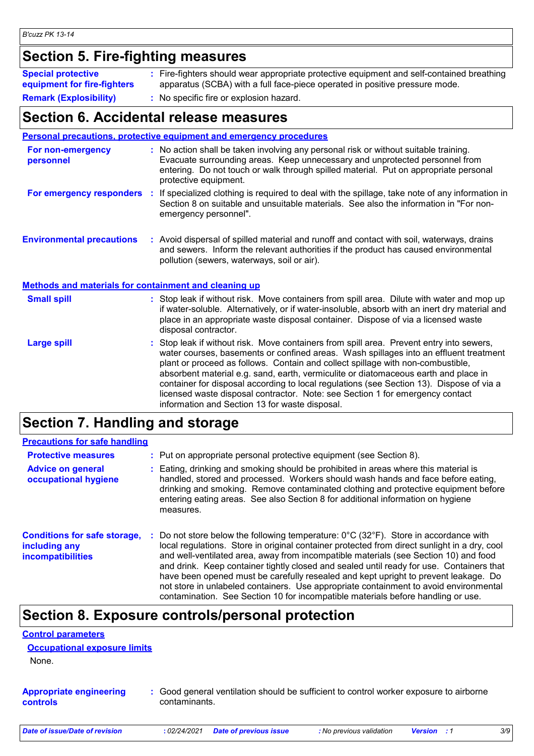## **Section 5. Fire-fighting measures**

| <b>Special protective</b><br>equipment for fire-fighters | : Fire-fighters should wear appropriate protective equipment and self-contained breathing<br>apparatus (SCBA) with a full face-piece operated in positive pressure mode. |
|----------------------------------------------------------|--------------------------------------------------------------------------------------------------------------------------------------------------------------------------|
| <b>Remark (Explosibility)</b>                            | : No specific fire or explosion hazard.                                                                                                                                  |

### **Section 6. Accidental release measures**

|                                                              | <b>Personal precautions, protective equipment and emergency procedures</b>                                                                                                                                                                                                                                                                                                                                                                                                                                                                                                                 |  |  |
|--------------------------------------------------------------|--------------------------------------------------------------------------------------------------------------------------------------------------------------------------------------------------------------------------------------------------------------------------------------------------------------------------------------------------------------------------------------------------------------------------------------------------------------------------------------------------------------------------------------------------------------------------------------------|--|--|
| For non-emergency<br>personnel                               | : No action shall be taken involving any personal risk or without suitable training.<br>Evacuate surrounding areas. Keep unnecessary and unprotected personnel from<br>entering. Do not touch or walk through spilled material. Put on appropriate personal<br>protective equipment.                                                                                                                                                                                                                                                                                                       |  |  |
| For emergency responders                                     | If specialized clothing is required to deal with the spillage, take note of any information in<br>п.<br>Section 8 on suitable and unsuitable materials. See also the information in "For non-<br>emergency personnel".                                                                                                                                                                                                                                                                                                                                                                     |  |  |
| <b>Environmental precautions</b>                             | : Avoid dispersal of spilled material and runoff and contact with soil, waterways, drains<br>and sewers. Inform the relevant authorities if the product has caused environmental<br>pollution (sewers, waterways, soil or air).                                                                                                                                                                                                                                                                                                                                                            |  |  |
| <b>Methods and materials for containment and cleaning up</b> |                                                                                                                                                                                                                                                                                                                                                                                                                                                                                                                                                                                            |  |  |
| <b>Small spill</b>                                           | : Stop leak if without risk. Move containers from spill area. Dilute with water and mop up<br>if water-soluble. Alternatively, or if water-insoluble, absorb with an inert dry material and<br>place in an appropriate waste disposal container. Dispose of via a licensed waste<br>disposal contractor.                                                                                                                                                                                                                                                                                   |  |  |
| <b>Large spill</b>                                           | : Stop leak if without risk. Move containers from spill area. Prevent entry into sewers,<br>water courses, basements or confined areas. Wash spillages into an effluent treatment<br>plant or proceed as follows. Contain and collect spillage with non-combustible,<br>absorbent material e.g. sand, earth, vermiculite or diatomaceous earth and place in<br>container for disposal according to local regulations (see Section 13). Dispose of via a<br>licensed waste disposal contractor. Note: see Section 1 for emergency contact<br>information and Section 13 for waste disposal. |  |  |

## **Section 7. Handling and storage**

| <b>Precautions for safe handling</b>                                             |                                                                                                                                                                                                                                                                                                                                                                                                                                                                                                                                                                                                                                                                 |
|----------------------------------------------------------------------------------|-----------------------------------------------------------------------------------------------------------------------------------------------------------------------------------------------------------------------------------------------------------------------------------------------------------------------------------------------------------------------------------------------------------------------------------------------------------------------------------------------------------------------------------------------------------------------------------------------------------------------------------------------------------------|
| <b>Protective measures</b>                                                       | : Put on appropriate personal protective equipment (see Section 8).                                                                                                                                                                                                                                                                                                                                                                                                                                                                                                                                                                                             |
| <b>Advice on general</b><br>occupational hygiene                                 | Eating, drinking and smoking should be prohibited in areas where this material is<br>handled, stored and processed. Workers should wash hands and face before eating,<br>drinking and smoking. Remove contaminated clothing and protective equipment before<br>entering eating areas. See also Section 8 for additional information on hygiene<br>measures.                                                                                                                                                                                                                                                                                                     |
| <b>Conditions for safe storage,</b><br>including any<br><i>incompatibilities</i> | Do not store below the following temperature: $0^{\circ}$ C (32 $^{\circ}$ F). Store in accordance with<br>local regulations. Store in original container protected from direct sunlight in a dry, cool<br>and well-ventilated area, away from incompatible materials (see Section 10) and food<br>and drink. Keep container tightly closed and sealed until ready for use. Containers that<br>have been opened must be carefully resealed and kept upright to prevent leakage. Do<br>not store in unlabeled containers. Use appropriate containment to avoid environmental<br>contamination. See Section 10 for incompatible materials before handling or use. |

### **Section 8. Exposure controls/personal protection**

| <b>Control parameters</b>                  |                                                                                                         |  |
|--------------------------------------------|---------------------------------------------------------------------------------------------------------|--|
| <b>Occupational exposure limits</b>        |                                                                                                         |  |
| None.                                      |                                                                                                         |  |
| <b>Appropriate engineering</b><br>controls | : Good general ventilation should be sufficient to control worker exposure to airborne<br>contaminants. |  |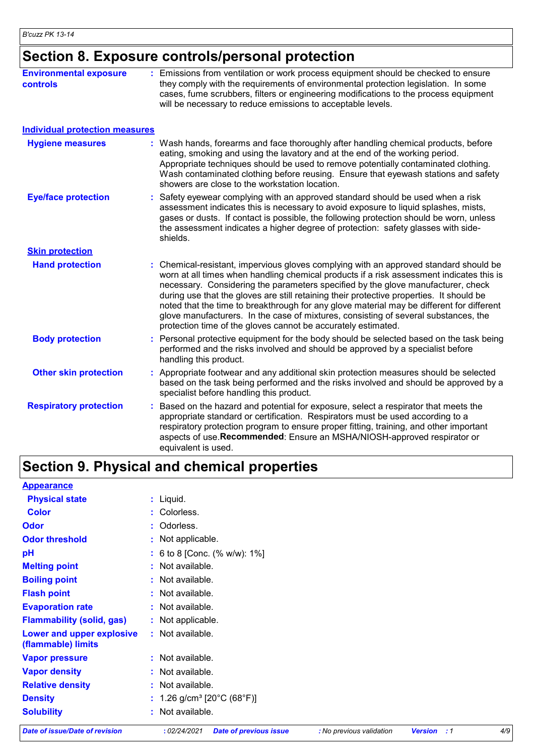## **Section 8. Exposure controls/personal protection**

| <b>Environmental exposure</b><br><b>controls</b> | : Emissions from ventilation or work process equipment should be checked to ensure<br>they comply with the requirements of environmental protection legislation. In some<br>cases, fume scrubbers, filters or engineering modifications to the process equipment<br>will be necessary to reduce emissions to acceptable levels.                                                                                                                                                                                                                                                                                      |
|--------------------------------------------------|----------------------------------------------------------------------------------------------------------------------------------------------------------------------------------------------------------------------------------------------------------------------------------------------------------------------------------------------------------------------------------------------------------------------------------------------------------------------------------------------------------------------------------------------------------------------------------------------------------------------|
| <b>Individual protection measures</b>            |                                                                                                                                                                                                                                                                                                                                                                                                                                                                                                                                                                                                                      |
| <b>Hygiene measures</b>                          | : Wash hands, forearms and face thoroughly after handling chemical products, before<br>eating, smoking and using the lavatory and at the end of the working period.<br>Appropriate techniques should be used to remove potentially contaminated clothing.<br>Wash contaminated clothing before reusing. Ensure that eyewash stations and safety<br>showers are close to the workstation location.                                                                                                                                                                                                                    |
| <b>Eye/face protection</b>                       | Safety eyewear complying with an approved standard should be used when a risk<br>assessment indicates this is necessary to avoid exposure to liquid splashes, mists,<br>gases or dusts. If contact is possible, the following protection should be worn, unless<br>the assessment indicates a higher degree of protection: safety glasses with side-<br>shields.                                                                                                                                                                                                                                                     |
| <b>Skin protection</b>                           |                                                                                                                                                                                                                                                                                                                                                                                                                                                                                                                                                                                                                      |
| <b>Hand protection</b>                           | Chemical-resistant, impervious gloves complying with an approved standard should be<br>worn at all times when handling chemical products if a risk assessment indicates this is<br>necessary. Considering the parameters specified by the glove manufacturer, check<br>during use that the gloves are still retaining their protective properties. It should be<br>noted that the time to breakthrough for any glove material may be different for different<br>glove manufacturers. In the case of mixtures, consisting of several substances, the<br>protection time of the gloves cannot be accurately estimated. |
| <b>Body protection</b>                           | Personal protective equipment for the body should be selected based on the task being<br>performed and the risks involved and should be approved by a specialist before<br>handling this product.                                                                                                                                                                                                                                                                                                                                                                                                                    |
| <b>Other skin protection</b>                     | : Appropriate footwear and any additional skin protection measures should be selected<br>based on the task being performed and the risks involved and should be approved by a<br>specialist before handling this product.                                                                                                                                                                                                                                                                                                                                                                                            |
| <b>Respiratory protection</b>                    | Based on the hazard and potential for exposure, select a respirator that meets the<br>appropriate standard or certification. Respirators must be used according to a<br>respiratory protection program to ensure proper fitting, training, and other important<br>aspects of use.Recommended: Ensure an MSHA/NIOSH-approved respirator or<br>equivalent is used.                                                                                                                                                                                                                                                     |

## **Section 9. Physical and chemical properties**

| <b>Appearance</b>                               |                                        |
|-------------------------------------------------|----------------------------------------|
| <b>Physical state</b>                           | $:$ Liquid.                            |
| <b>Color</b>                                    | : Colorless.                           |
| <b>Odor</b>                                     | : Odorless.                            |
| <b>Odor threshold</b>                           | : Not applicable.                      |
| pH                                              | : 6 to 8 [Conc. (% w/w): 1%]           |
| <b>Melting point</b>                            | : Not available.                       |
| <b>Boiling point</b>                            | : Not available.                       |
| <b>Flash point</b>                              | : Not available.                       |
| <b>Evaporation rate</b>                         | : Not available.                       |
| <b>Flammability (solid, gas)</b>                | : Not applicable.                      |
| Lower and upper explosive<br>(flammable) limits | : Not available.                       |
| <b>Vapor pressure</b>                           | : Not available.                       |
| <b>Vapor density</b>                            | : Not available.                       |
| <b>Relative density</b>                         | : Not available.                       |
| <b>Density</b>                                  | : 1.26 g/cm <sup>3</sup> [20°C (68°F)] |
| <b>Solubility</b>                               | : Not available.                       |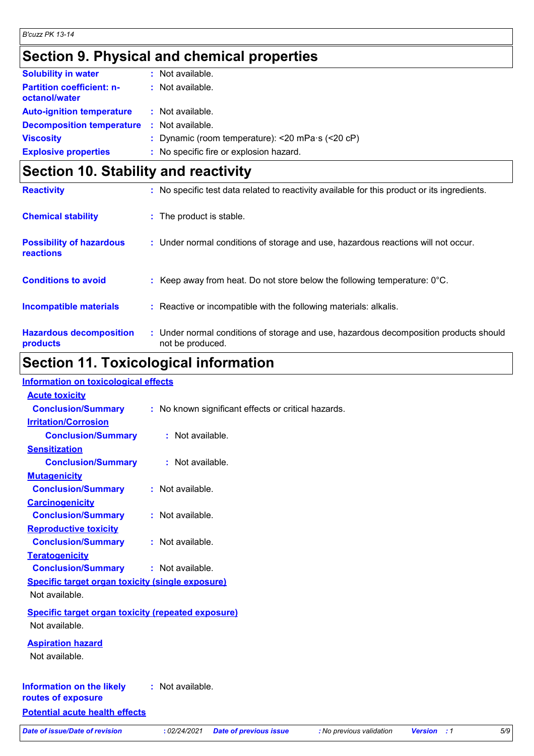## **Section 9. Physical and chemical properties**

| <b>Solubility in water</b>                        | : Not available.                                                |
|---------------------------------------------------|-----------------------------------------------------------------|
| <b>Partition coefficient: n-</b><br>octanol/water | : Not available.                                                |
| <b>Auto-ignition temperature</b>                  | : Not available.                                                |
| <b>Decomposition temperature</b>                  | : Not available.                                                |
| <b>Viscosity</b>                                  | : Dynamic (room temperature): $<$ 20 mPa $\cdot$ s ( $<$ 20 cP) |
| <b>Explosive properties</b>                       | : No specific fire or explosion hazard.                         |

## **Section 10. Stability and reactivity**

| <b>Reactivity</b>                                   | : No specific test data related to reactivity available for this product or its ingredients.              |
|-----------------------------------------------------|-----------------------------------------------------------------------------------------------------------|
| <b>Chemical stability</b>                           | : The product is stable.                                                                                  |
| <b>Possibility of hazardous</b><br><b>reactions</b> | : Under normal conditions of storage and use, hazardous reactions will not occur.                         |
| <b>Conditions to avoid</b>                          | : Keep away from heat. Do not store below the following temperature: $0^{\circ}$ C.                       |
| <b>Incompatible materials</b>                       | : Reactive or incompatible with the following materials: alkalis.                                         |
| <b>Hazardous decomposition</b><br>products          | : Under normal conditions of storage and use, hazardous decomposition products should<br>not be produced. |

## **Section 11. Toxicological information**

| <b>Information on toxicological effects</b>                               |                                                     |                          |                    |     |
|---------------------------------------------------------------------------|-----------------------------------------------------|--------------------------|--------------------|-----|
| <b>Acute toxicity</b>                                                     |                                                     |                          |                    |     |
| <b>Conclusion/Summary</b>                                                 | : No known significant effects or critical hazards. |                          |                    |     |
| <b>Irritation/Corrosion</b>                                               |                                                     |                          |                    |     |
| <b>Conclusion/Summary</b>                                                 | : Not available.                                    |                          |                    |     |
| <b>Sensitization</b>                                                      |                                                     |                          |                    |     |
| <b>Conclusion/Summary</b>                                                 | : Not available.                                    |                          |                    |     |
| <b>Mutagenicity</b>                                                       |                                                     |                          |                    |     |
| <b>Conclusion/Summary</b>                                                 | : Not available.                                    |                          |                    |     |
| <b>Carcinogenicity</b>                                                    |                                                     |                          |                    |     |
| <b>Conclusion/Summary</b>                                                 | : Not available.                                    |                          |                    |     |
| <b>Reproductive toxicity</b>                                              |                                                     |                          |                    |     |
| <b>Conclusion/Summary</b>                                                 | : Not available.                                    |                          |                    |     |
| <b>Teratogenicity</b>                                                     |                                                     |                          |                    |     |
| <b>Conclusion/Summary</b>                                                 | : Not available.                                    |                          |                    |     |
|                                                                           |                                                     |                          |                    |     |
| <b>Specific target organ toxicity (single exposure)</b><br>Not available. |                                                     |                          |                    |     |
|                                                                           |                                                     |                          |                    |     |
| <b>Specific target organ toxicity (repeated exposure)</b>                 |                                                     |                          |                    |     |
| Not available.                                                            |                                                     |                          |                    |     |
| <b>Aspiration hazard</b>                                                  |                                                     |                          |                    |     |
| Not available.                                                            |                                                     |                          |                    |     |
|                                                                           |                                                     |                          |                    |     |
| <b>Information on the likely</b><br>routes of exposure                    | : Not available.                                    |                          |                    |     |
| <b>Potential acute health effects</b>                                     |                                                     |                          |                    |     |
| <b>Date of issue/Date of revision</b>                                     | : 02/24/2021                                        |                          |                    | 5/9 |
|                                                                           | <b>Date of previous issue</b>                       | : No previous validation | <b>Version</b> : 1 |     |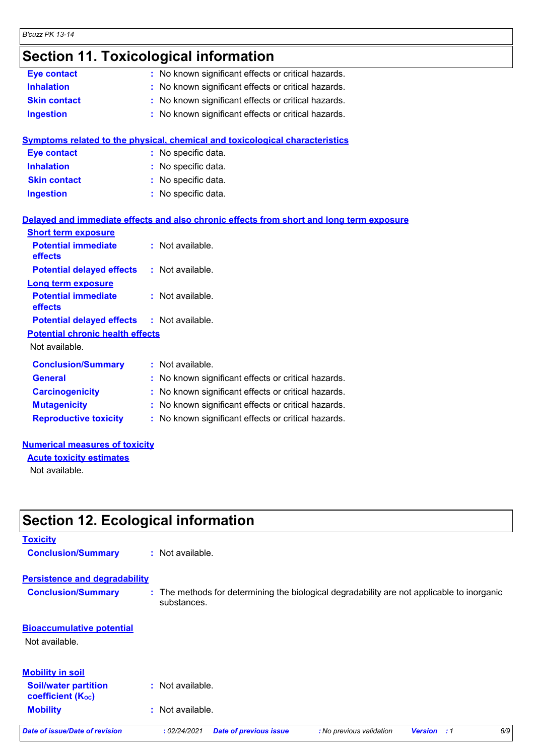### **Section 11. Toxicological information**

| Eye contact                             | : No known significant effects or critical hazards.                                      |
|-----------------------------------------|------------------------------------------------------------------------------------------|
| <b>Inhalation</b>                       | : No known significant effects or critical hazards.                                      |
| <b>Skin contact</b>                     | : No known significant effects or critical hazards.                                      |
| <b>Ingestion</b>                        | : No known significant effects or critical hazards.                                      |
|                                         |                                                                                          |
|                                         | Symptoms related to the physical, chemical and toxicological characteristics             |
| <b>Eye contact</b>                      | : No specific data.                                                                      |
| <b>Inhalation</b>                       | : No specific data.                                                                      |
| <b>Skin contact</b>                     | : No specific data.                                                                      |
| <b>Ingestion</b>                        | : No specific data.                                                                      |
|                                         |                                                                                          |
|                                         | Delayed and immediate effects and also chronic effects from short and long term exposure |
| <b>Short term exposure</b>              |                                                                                          |
| <b>Potential immediate</b><br>effects   | : Not available.                                                                         |
| <b>Potential delayed effects</b>        | : Not available.                                                                         |
| <b>Long term exposure</b>               |                                                                                          |
| <b>Potential immediate</b>              | : Not available.                                                                         |
| effects                                 |                                                                                          |
| <b>Potential delayed effects</b>        | : Not available.                                                                         |
| <b>Potential chronic health effects</b> |                                                                                          |
| Not available.                          |                                                                                          |
| <b>Conclusion/Summary</b>               | : Not available.                                                                         |
| <b>General</b>                          | : No known significant effects or critical hazards.                                      |
| <b>Carcinogenicity</b>                  | : No known significant effects or critical hazards.                                      |
| <b>Mutagenicity</b>                     | : No known significant effects or critical hazards.                                      |
| <b>Reproductive toxicity</b>            | : No known significant effects or critical hazards.                                      |
|                                         |                                                                                          |

#### **Numerical measures of toxicity**

#### **Acute toxicity estimates**

Not available.

## **Section 12. Ecological information**

#### **Toxicity**

**Conclusion/Summary :** Not available.

### **Persistence and degradability**

**Conclusion/Summary :** The methods for determining the biological degradability are not applicable to inorganic substances.

### **Bioaccumulative potential**

Not available.

### **Mobility in soil**

- **Soil/water partition coefficient (KOC) :** Not available.
- **Mobility :** Not available.

*Date of issue/Date of revision* **:** *02/24/2021 Date of previous issue : No previous validation Version : 1 6/9*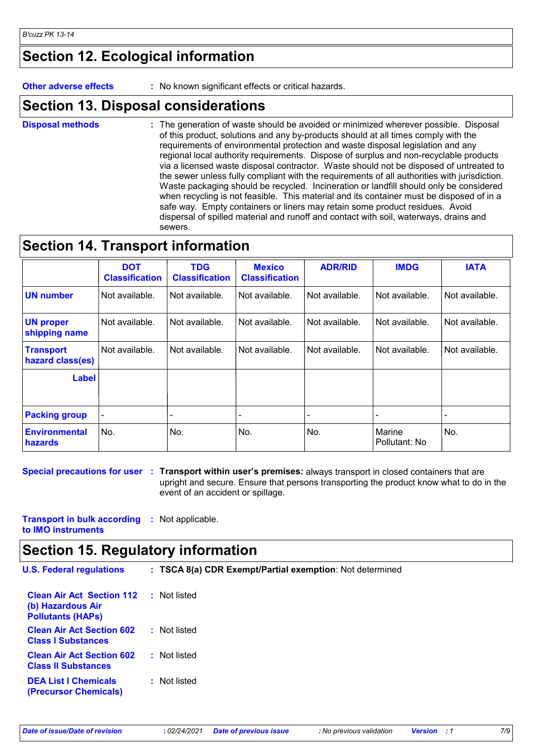### **Section 12. Ecological information**

**Other adverse effects :** No known significant effects or critical hazards.

### **Section 13. Disposal considerations**

The generation of waste should be avoided or minimized wherever possible. Disposal of this product, solutions and any by-products should at all times comply with the requirements of environmental protection and waste disposal legislation and any regional local authority requirements. Dispose of surplus and non-recyclable products via a licensed waste disposal contractor. Waste should not be disposed of untreated to the sewer unless fully compliant with the requirements of all authorities with jurisdiction. Waste packaging should be recycled. Incineration or landfill should only be considered when recycling is not feasible. This material and its container must be disposed of in a safe way. Empty containers or liners may retain some product residues. Avoid dispersal of spilled material and runoff and contact with soil, waterways, drains and sewers. **Disposal methods :**

### **Section 14. Transport information**

|                                      | <b>DOT</b><br><b>Classification</b> | <b>TDG</b><br><b>Classification</b> | <b>Mexico</b><br><b>Classification</b> | <b>ADR/RID</b> | <b>IMDG</b>             | <b>IATA</b>    |
|--------------------------------------|-------------------------------------|-------------------------------------|----------------------------------------|----------------|-------------------------|----------------|
| <b>UN</b> number                     | Not available.                      | Not available.                      | Not available.                         | Not available. | Not available.          | Not available. |
| <b>UN proper</b><br>shipping name    | Not available.                      | Not available.                      | Not available.                         | Not available. | Not available.          | Not available. |
| <b>Transport</b><br>hazard class(es) | Not available.                      | Not available.                      | Not available.                         | Not available. | Not available.          | Not available. |
| <b>Label</b>                         |                                     |                                     |                                        |                |                         |                |
| <b>Packing group</b>                 |                                     |                                     |                                        |                |                         |                |
| <b>Environmental</b><br>hazards      | No.                                 | No.                                 | No.                                    | No.            | Marine<br>Pollutant: No | No.            |

**Special precautions for user Transport within user's premises:** always transport in closed containers that are **:** upright and secure. Ensure that persons transporting the product know what to do in the event of an accident or spillage.

**Transport in bulk according :** Not applicable. **to IMO instruments**

### **Section 15. Regulatory information**

| <b>U.S. Federal regulations</b>                                                   | : TSCA 8(a) CDR Exempt/Partial exemption: Not determined |
|-----------------------------------------------------------------------------------|----------------------------------------------------------|
| <b>Clean Air Act Section 112</b><br>(b) Hazardous Air<br><b>Pollutants (HAPS)</b> | : Not listed                                             |
| <b>Clean Air Act Section 602</b><br><b>Class I Substances</b>                     | : Not listed                                             |
| <b>Clean Air Act Section 602</b><br><b>Class II Substances</b>                    | : Not listed                                             |
| <b>DEA List I Chemicals</b><br><b>(Precursor Chemicals)</b>                       | : Not listed                                             |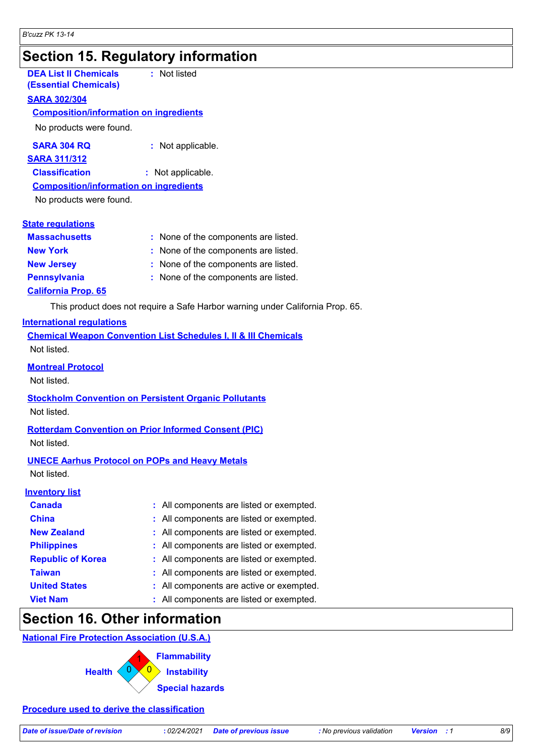## **Section 15. Regulatory information**

| <b>DEA List II Chemicals</b><br><b>(Essential Chemicals)</b> | : Not listed                         |
|--------------------------------------------------------------|--------------------------------------|
| <b>SARA 302/304</b>                                          |                                      |
| <b>Composition/information on ingredients</b>                |                                      |
| No products were found.                                      |                                      |
| <b>SARA 304 RQ</b>                                           | : Not applicable.                    |
| <b>SARA 311/312</b>                                          |                                      |
| <b>Classification</b>                                        | : Not applicable.                    |
| <b>Composition/information on ingredients</b>                |                                      |
| No products were found.                                      |                                      |
|                                                              |                                      |
| <b>State regulations</b>                                     |                                      |
| <b>Massachusetts</b>                                         | : None of the components are listed. |
| <b>New York</b>                                              | : None of the components are listed. |
| <b>New Jersey</b>                                            | : None of the components are listed. |

**Pennsylvania :** None of the components are listed.

### **California Prop. 65**

This product does not require a Safe Harbor warning under California Prop. 65.

### **International regulations**

**Chemical Weapon Convention List Schedules I, II & III Chemicals** Not listed.

### **Montreal Protocol**

Not listed.

#### **Stockholm Convention on Persistent Organic Pollutants** Not listed.

### **Rotterdam Convention on Prior Informed Consent (PIC)**

Not listed.

### **UNECE Aarhus Protocol on POPs and Heavy Metals**

Not listed.

| <b>Inventory list</b>    |                                          |
|--------------------------|------------------------------------------|
| <b>Canada</b>            | : All components are listed or exempted. |
| <b>China</b>             | : All components are listed or exempted. |
| <b>New Zealand</b>       | : All components are listed or exempted. |
| <b>Philippines</b>       | : All components are listed or exempted. |
| <b>Republic of Korea</b> | : All components are listed or exempted. |
| <b>Taiwan</b>            | : All components are listed or exempted. |
| <b>United States</b>     | : All components are active or exempted. |
| <b>Viet Nam</b>          | : All components are listed or exempted. |
|                          |                                          |

### **Section 16. Other information**

### **National Fire Protection Association (U.S.A.)**



### **Procedure used to derive the classification**